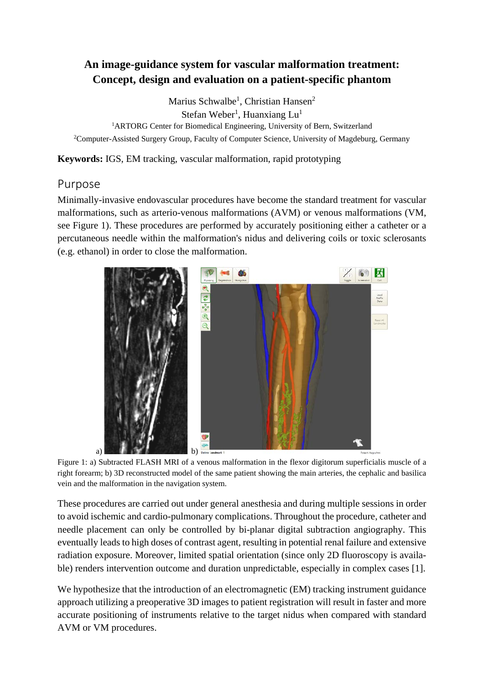# **An image-guidance system for vascular malformation treatment: Concept, design and evaluation on a patient-specific phantom**

Marius Schwalbe<sup>1</sup>, Christian Hansen<sup>2</sup>

Stefan Weber<sup>1</sup>, Huanxiang Lu<sup>1</sup>

<sup>1</sup>ARTORG Center for Biomedical Engineering, University of Bern, Switzerland <sup>2</sup>Computer-Assisted Surgery Group, Faculty of Computer Science, University of Magdeburg, Germany

**Keywords:** IGS, EM tracking, vascular malformation, rapid prototyping

### Purpose

Minimally-invasive endovascular procedures have become the standard treatment for vascular malformations, such as arterio-venous malformations (AVM) or venous malformations (VM, see Figure 1). These procedures are performed by accurately positioning either a catheter or a percutaneous needle within the malformation's nidus and delivering coils or toxic sclerosants (e.g. ethanol) in order to close the malformation.



Figure 1: a) Subtracted FLASH MRI of a venous malformation in the flexor digitorum superficialis muscle of a right forearm; b) 3D reconstructed model of the same patient showing the main arteries, the cephalic and basilica vein and the malformation in the navigation system.

These procedures are carried out under general anesthesia and during multiple sessions in order to avoid ischemic and cardio-pulmonary complications. Throughout the procedure, catheter and needle placement can only be controlled by bi-planar digital subtraction angiography. This eventually leads to high doses of contrast agent, resulting in potential renal failure and extensive radiation exposure. Moreover, limited spatial orientation (since only 2D fluoroscopy is available) renders intervention outcome and duration unpredictable, especially in complex cases [1].

We hypothesize that the introduction of an electromagnetic (EM) tracking instrument guidance approach utilizing a preoperative 3D images to patient registration will result in faster and more accurate positioning of instruments relative to the target nidus when compared with standard AVM or VM procedures.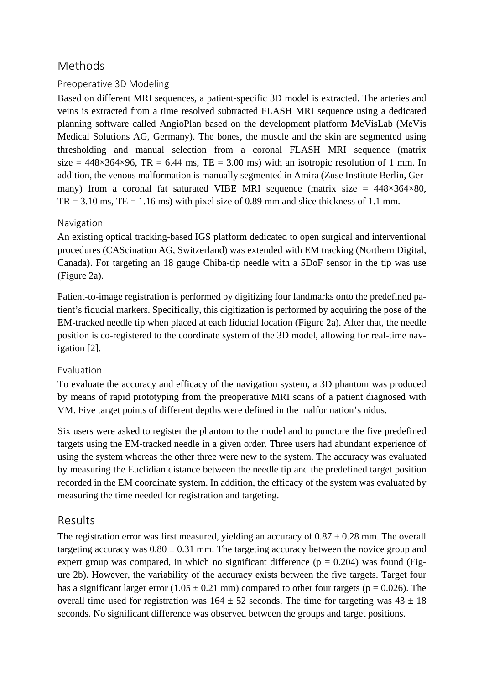# Methods

### Preoperative 3D Modeling

Based on different MRI sequences, a patient-specific 3D model is extracted. The arteries and veins is extracted from a time resolved subtracted FLASH MRI sequence using a dedicated planning software called AngioPlan based on the development platform MeVisLab (MeVis Medical Solutions AG, Germany). The bones, the muscle and the skin are segmented using thresholding and manual selection from a coronal FLASH MRI sequence (matrix size =  $448 \times 364 \times 96$ , TR = 6.44 ms, TE = 3.00 ms) with an isotropic resolution of 1 mm. In addition, the venous malformation is manually segmented in Amira (Zuse Institute Berlin, Germany) from a coronal fat saturated VIBE MRI sequence (matrix size =  $448 \times 364 \times 80$ ,  $TR = 3.10$  ms,  $TE = 1.16$  ms) with pixel size of 0.89 mm and slice thickness of 1.1 mm.

#### Navigation

An existing optical tracking-based IGS platform dedicated to open surgical and interventional procedures (CAScination AG, Switzerland) was extended with EM tracking (Northern Digital, Canada). For targeting an 18 gauge Chiba-tip needle with a 5DoF sensor in the tip was use (Figure 2a).

Patient-to-image registration is performed by digitizing four landmarks onto the predefined patient's fiducial markers. Specifically, this digitization is performed by acquiring the pose of the EM-tracked needle tip when placed at each fiducial location (Figure 2a). After that, the needle position is co-registered to the coordinate system of the 3D model, allowing for real-time navigation [2].

#### Evaluation

To evaluate the accuracy and efficacy of the navigation system, a 3D phantom was produced by means of rapid prototyping from the preoperative MRI scans of a patient diagnosed with VM. Five target points of different depths were defined in the malformation's nidus.

Six users were asked to register the phantom to the model and to puncture the five predefined targets using the EM-tracked needle in a given order. Three users had abundant experience of using the system whereas the other three were new to the system. The accuracy was evaluated by measuring the Euclidian distance between the needle tip and the predefined target position recorded in the EM coordinate system. In addition, the efficacy of the system was evaluated by measuring the time needed for registration and targeting.

## Results

The registration error was first measured, yielding an accuracy of  $0.87 \pm 0.28$  mm. The overall targeting accuracy was  $0.80 \pm 0.31$  mm. The targeting accuracy between the novice group and expert group was compared, in which no significant difference  $(p = 0.204)$  was found (Figure 2b). However, the variability of the accuracy exists between the five targets. Target four has a significant larger error  $(1.05 \pm 0.21 \text{ mm})$  compared to other four targets (p = 0.026). The overall time used for registration was  $164 \pm 52$  seconds. The time for targeting was  $43 \pm 18$ seconds. No significant difference was observed between the groups and target positions.